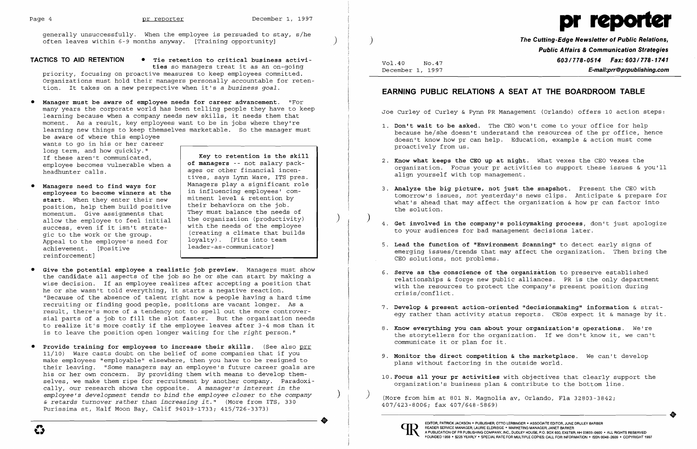

generally unsuccessfully. When the employee is persuaded to stay, s/he often leaves within 6-9 months anyway. [Training opportunity] )

**TACTICS TO AID RETENTION • Tie retention to critical business activi-**

**ties** so managers treat it as an on-going priority, focusing on proactive measures to keep employees committed. Organizations must hold their managers personally accountable for retention. It takes on a new perspective when it's a *business goal.* 

• **Manager must be** *aware* **of employee needs for career advancement.** "For many years the corporate world has been telling people they have to keep learning because when a company needs new skills, it needs them that moment. As a result, key employees want to be in jobs where they're learning new things to keep themselves marketable. So the manager must be aware of where this employee

Managers need to find ways for **employees to become winners at the start.** When they enter their new position, help them build positive momentum. Give assignments that allow the employee to feel initial success, even if it isn't strategic to the work or the group. Appeal to the employee's need for achievement. [Positive reinforcement]

- **Give the potential employee a realistic job preview.** Managers must show the candidate all aspects of the job so he or she can start by making a wise decision. If an employee realizes after accepting a position that he or she wasn't told everything, it starts a negative reaction. "Because of the absence of talent right now & people having a hard time recruiting or finding good people, positions are vacant longer. As a result, there's more of a tendency not to spell out the more controversial parts of a job to fill the slot faster. But the organization needs to realize it's more costly if the employee leaves after 3-4 mos than it is to leave the position open longer waiting for the *right* person."
- **Provide training for employees to increase their skills.** (See also prr 11/10) Ware casts doubt on the belief of some companies that if you make employees "employable" elsewhere, then you have to be resigned to their leaving. "Some managers sayan employee's future career goals are his or her own concern. By providing them with means to develop themselves, we make them ripe for recruitment by another company. Paradoxically, our research shows the opposite. *A manager's interest in the employee's development tends* to *bind the employee closer* to *the company* ) *& retards turnover rather than increasing it."* (More from ITS, 330 Purissima st, Half Moon Bay, Calif 94019-1733; 415/726-3373)  $\bullet$

wants to go in his or her career long term, and how quickly." If these aren't communicated, employee becomes vulnerable when a headhunter calls.

**Key to retention is the skill of managers** -- not salary packages or other financial incentives, says Lynn Ware, ITS pres. Managers play a significant role in influencing employees' commitment level & retention by their behaviors on the job. They must balance the needs of the organization (productivity) ) with the needs of the employee (creating a climate that builds loyalty). [Fits into team leader-as-communicator]

1. **Don't wait to be asked.** The CEO won't come to your office for help because he/she doesn't understand the resources of the pr office, hence doesn't know how pr can help. Education, example & action must come

) **The Cutting-Edge Newsletter of Public Relations, Public Affairs & Communication Strategies 603/778-0514 Fax: 603/778-1741 E-mail:prr@prpublishing.com** 

Vol.40 NO.47 December 1, 1997

## **EARNING PUBLIC RELATIONS A SEAT AT THE BOARDROOM TABLE**

Joe Curley of Curley & Pynn PR Management (Orlando) offers 10 action steps:

organization. Focus your pr activities to support these issues & you'll

3. **Analyze the big picture, not just the snapshot.** Present the CEO with tomorrow's issues, not yesterday's news clips. Anticipate & prepare for what's ahead that may affect the organization & how pr can factor into

) 4. **Get involved in the company's policymaking process,** don't just apologize

emerging issues/trends that may affect the organization. Then bring the

- proactively from us.
- 2. **Know what keeps the CEO up at night.** What vexes the CEO vexes the align yourself with top management.
- the solution.
- to your audiences for bad management decisions later.
- 5. Lead the function of "Environment Scanning" to detect early signs of<br>emerging issues/trends that may affect the organization. Then bring<br>CEO solutions, not problems. CEO solutions, not problems.
	- crisis/conflict.
	-
	- communicate it or plan for it.
	- plans without factoring in the outside world.
	- organization's business plan & contribute to the bottom line.

6. **Serve as the conscience of the organization** to preserve established relationships & forge new public alliances. PR is the only department with the resources to protect the company's present position during

7. **Develop & present action-oriented "decisionmaking" information** & strategy rather than activity status reports. CEOs expect it & manage by it.

8. **Know everything you can about your organization's operations.** We're the storytellers for the organization. If we don't know it, we can't

9. **Monitor the direct competition & the marketplace.** We can't develop

10. **Focus all your pr activities** with objectives that clearly support the

) (More from him at 801 N. Magnolia av, Orlando, Fla 32803-3842; 407/423-8006; fax 407/648-5869)



..